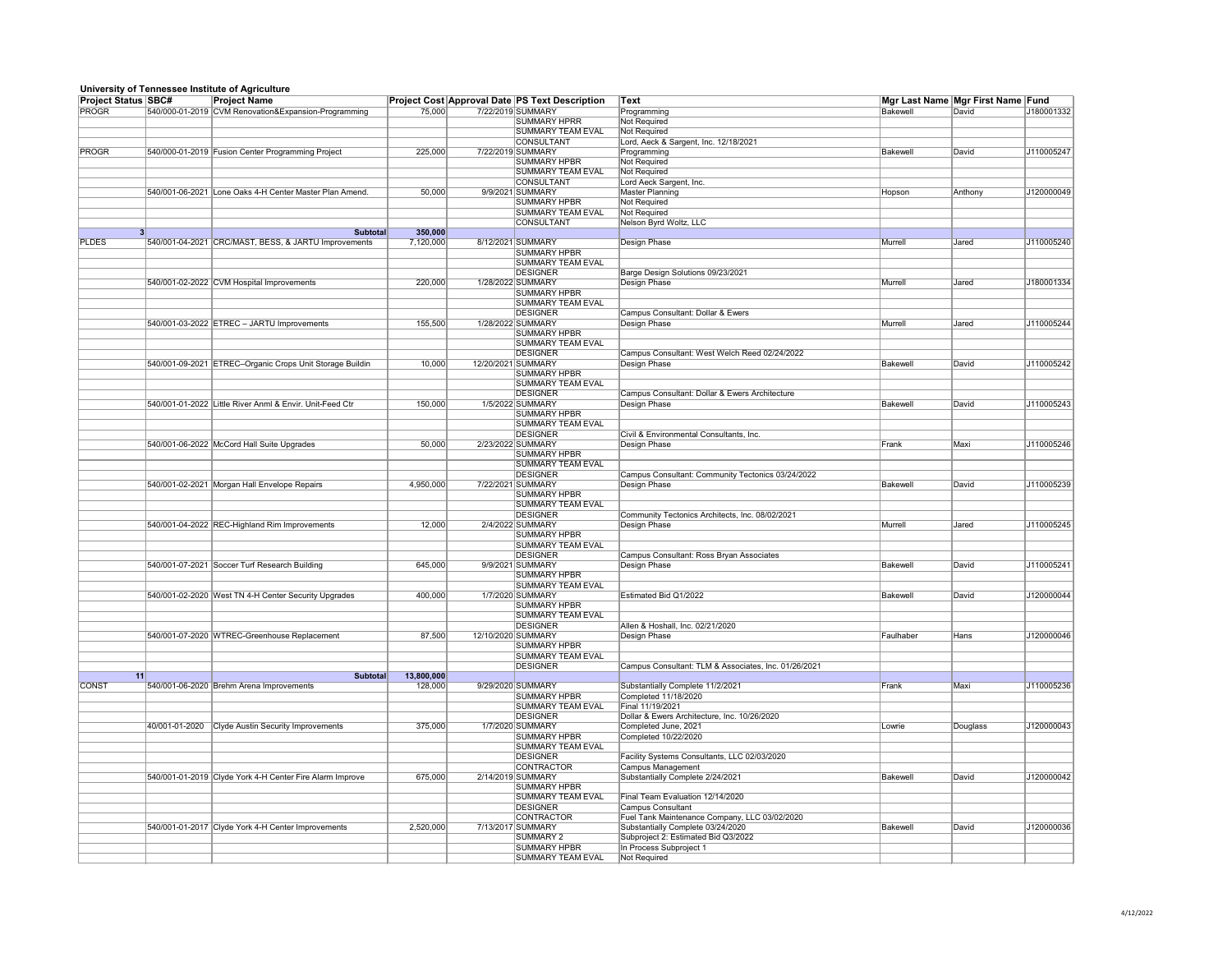## **University of Tennessee Institute of Agriculture**

|                            |    | omvorony or romrossed montano or Agnoanard               |            |                                                       |                                                      |                 |                                   |            |
|----------------------------|----|----------------------------------------------------------|------------|-------------------------------------------------------|------------------------------------------------------|-----------------|-----------------------------------|------------|
| <b>Project Status SBC#</b> |    | <b>Project Name</b>                                      |            | <b>Project Cost Approval Date PS Text Description</b> | ∣Text                                                |                 | Mgr Last Name Mgr First Name Fund |            |
| PROGR                      |    | 540/000-01-2019 CVM Renovation&Expansion-Programming     | 75,000     | 7/22/2019 SUMMARY                                     | Programming                                          | Bakewell        | David                             | J180001332 |
|                            |    |                                                          |            | <b>SUMMARY HPRR</b>                                   | <b>Not Required</b>                                  |                 |                                   |            |
|                            |    |                                                          |            | SUMMARY TEAM EVAL                                     | Not Required                                         |                 |                                   |            |
|                            |    |                                                          |            | <b>CONSULTANT</b>                                     | Lord, Aeck & Sargent, Inc. 12/18/2021                |                 |                                   |            |
| PROGR                      |    | 540/000-01-2019 Fusion Center Programming Project        | 225,000    | 7/22/2019 SUMMARY                                     | Programming                                          | Bakewell        | David                             | J110005247 |
|                            |    |                                                          |            | SUMMARY HPBR                                          | Not Required                                         |                 |                                   |            |
|                            |    |                                                          |            | SUMMARY TEAM EVAL                                     | <b>Not Required</b>                                  |                 |                                   |            |
|                            |    |                                                          |            | <b>CONSULTANT</b>                                     |                                                      |                 |                                   |            |
|                            |    |                                                          |            |                                                       | Lord Aeck Sargent, Inc.                              |                 |                                   |            |
|                            |    | 540/001-06-2021 Lone Oaks 4-H Center Master Plan Amend.  | 50,000     | 9/9/2021 SUMMARY                                      | <b>Master Planning</b>                               | Hopson          | Anthony                           | J120000049 |
|                            |    |                                                          |            | <b>SUMMARY HPBR</b>                                   | Not Required                                         |                 |                                   |            |
|                            |    |                                                          |            | SUMMARY TEAM EVAL                                     | <b>Not Required</b>                                  |                 |                                   |            |
|                            |    |                                                          |            | <b>CONSULTANT</b>                                     | Nelson Byrd Woltz, LLC                               |                 |                                   |            |
|                            |    | <b>Subtotal</b>                                          | 350,000    |                                                       |                                                      |                 |                                   |            |
| <b>PLDES</b>               |    | 540/001-04-2021 CRC/MAST, BESS, & JARTU Improvements     | 7,120,000  | 8/12/2021 SUMMARY                                     | <b>Design Phase</b>                                  | Murrell         | Jared                             | J110005240 |
|                            |    |                                                          |            | SUMMARY HPBR                                          |                                                      |                 |                                   |            |
|                            |    |                                                          |            |                                                       |                                                      |                 |                                   |            |
|                            |    |                                                          |            | <b>SUMMARY TEAM EVAL</b>                              |                                                      |                 |                                   |            |
|                            |    |                                                          |            | DESIGNER                                              | Barge Design Solutions 09/23/2021                    |                 |                                   |            |
|                            |    | 540/001-02-2022 CVM Hospital Improvements                | 220,000    | 1/28/2022 SUMMARY                                     | Design Phase                                         | Murrell         | Jared                             | J180001334 |
|                            |    |                                                          |            | SUMMARY HPBR                                          |                                                      |                 |                                   |            |
|                            |    |                                                          |            | <b>SUMMARY TEAM EVAL</b>                              |                                                      |                 |                                   |            |
|                            |    |                                                          |            | <b>DESIGNER</b>                                       | <b>Campus Consultant: Dollar &amp; Ewers</b>         |                 |                                   |            |
|                            |    |                                                          |            |                                                       |                                                      | Murrell         |                                   |            |
|                            |    | 540/001-03-2022 ETREC - JARTU Improvements               | 155,500    | 1/28/2022 SUMMARY                                     | Design Phase                                         |                 | Jared                             | J110005244 |
|                            |    |                                                          |            | SUMMARY HPBR                                          |                                                      |                 |                                   |            |
|                            |    |                                                          |            | <b>SUMMARY TEAM EVAL</b>                              |                                                      |                 |                                   |            |
|                            |    |                                                          |            | DESIGNER                                              | Campus Consultant: West Welch Reed 02/24/2022        |                 |                                   |            |
|                            |    | 540/001-09-2021 ETREC-Organic Crops Unit Storage Buildin | 10,000     | 12/20/2021 SUMMARY                                    | Design Phase                                         | Bakewell        | David                             | J110005242 |
|                            |    |                                                          |            | SUMMARY HPBR                                          |                                                      |                 |                                   |            |
|                            |    |                                                          |            | <b>SUMMARY TEAM EVAL</b>                              |                                                      |                 |                                   |            |
|                            |    |                                                          |            |                                                       |                                                      |                 |                                   |            |
|                            |    |                                                          |            | <b>DESIGNER</b>                                       | Campus Consultant: Dollar & Ewers Architecture       |                 |                                   |            |
|                            |    | 540/001-01-2022 Little River Anml & Envir. Unit-Feed Ctr | 150,000    | 1/5/2022 SUMMARY                                      | <b>Design Phase</b>                                  | <b>Bakewell</b> | David                             | J110005243 |
|                            |    |                                                          |            | SUMMARY HPBR                                          |                                                      |                 |                                   |            |
|                            |    |                                                          |            | <b>SUMMARY TEAM EVAL</b>                              |                                                      |                 |                                   |            |
|                            |    |                                                          |            | <b>DESIGNER</b>                                       | Civil & Environmental Consultants, Inc.              |                 |                                   |            |
|                            |    | 540/001-06-2022 McCord Hall Suite Upgrades               | 50,000     | 2/23/2022 SUMMARY                                     | <b>Design Phase</b>                                  | Frank           | Maxi                              | J110005246 |
|                            |    |                                                          |            |                                                       |                                                      |                 |                                   |            |
|                            |    |                                                          |            | <b>SUMMARY HPBR</b>                                   |                                                      |                 |                                   |            |
|                            |    |                                                          |            | <b>SUMMARY TEAM EVAL</b>                              |                                                      |                 |                                   |            |
|                            |    |                                                          |            | <b>DESIGNER</b>                                       | Campus Consultant: Community Tectonics 03/24/2022    |                 |                                   |            |
|                            |    | 540/001-02-2021 Morgan Hall Envelope Repairs             | 4,950,000  | 7/22/2021 SUMMARY                                     | <b>Design Phase</b>                                  | Bakewell        | David                             | J110005239 |
|                            |    |                                                          |            | <b>SUMMARY HPBR</b>                                   |                                                      |                 |                                   |            |
|                            |    |                                                          |            | <b>SUMMARY TEAM EVAL</b>                              |                                                      |                 |                                   |            |
|                            |    |                                                          |            |                                                       |                                                      |                 |                                   |            |
|                            |    |                                                          |            | <b>DESIGNER</b>                                       | Community Tectonics Architects, Inc. 08/02/2021      |                 |                                   |            |
|                            |    | 540/001-04-2022 REC-Highland Rim Improvements            | 12,000     | 2/4/2022 SUMMARY                                      | Design Phase                                         | Murrell         | Jared                             | J110005245 |
|                            |    |                                                          |            | <b>SUMMARY HPBR</b>                                   |                                                      |                 |                                   |            |
|                            |    |                                                          |            | SUMMARY TEAM EVAL                                     |                                                      |                 |                                   |            |
|                            |    |                                                          |            | <b>DESIGNER</b>                                       | Campus Consultant: Ross Bryan Associates             |                 |                                   |            |
|                            |    | 540/001-07-2021 Soccer Turf Research Building            | 645,000    | 9/9/2021 SUMMARY                                      | Design Phase                                         | Bakewell        | David                             | J110005241 |
|                            |    |                                                          |            | <b>SUMMARY HPBR</b>                                   |                                                      |                 |                                   |            |
|                            |    |                                                          |            |                                                       |                                                      |                 |                                   |            |
|                            |    |                                                          |            | <b>SUMMARY TEAM EVAL</b>                              |                                                      |                 |                                   |            |
|                            |    | 540/001-02-2020 West TN 4-H Center Security Upgrades     | 400,000    | 1/7/2020 SUMMARY                                      | Estimated Bid Q1/2022                                | Bakewell        | David                             | J120000044 |
|                            |    |                                                          |            | SUMMARY HPBR                                          |                                                      |                 |                                   |            |
|                            |    |                                                          |            | <b>SUMMARY TEAM EVAL</b>                              |                                                      |                 |                                   |            |
|                            |    |                                                          |            | <b>DESIGNER</b>                                       | Allen & Hoshall, Inc. 02/21/2020                     |                 |                                   |            |
|                            |    | 540/001-07-2020 WTREC-Greenhouse Replacement             | 87,500     | 12/10/2020 SUMMARY                                    | Design Phase                                         | Faulhaber       | Hans                              | J120000046 |
|                            |    |                                                          |            | SUMMARY HPBR                                          |                                                      |                 |                                   |            |
|                            |    |                                                          |            |                                                       |                                                      |                 |                                   |            |
|                            |    |                                                          |            | <b>SUMMARY TEAM EVAL</b>                              |                                                      |                 |                                   |            |
|                            |    |                                                          |            | DESIGNER                                              | Campus Consultant: TLM & Associates, Inc. 01/26/2021 |                 |                                   |            |
|                            | 11 | <b>Subtotal</b>                                          | 13,800,000 |                                                       |                                                      |                 |                                   |            |
| <b>CONST</b>               |    | 540/001-06-2020 Brehm Arena Improvements                 | 128,000    | 9/29/2020 SUMMARY                                     | Substantially Complete 11/2/2021                     | Frank           | Maxi                              | J110005236 |
|                            |    |                                                          |            | <b>SUMMARY HPBR</b>                                   | Completed 11/18/2020                                 |                 |                                   |            |
|                            |    |                                                          |            | <b>SUMMARY TEAM EVAL</b>                              | Final 11/19/2021                                     |                 |                                   |            |
|                            |    |                                                          |            | <b>DESIGNER</b>                                       | Dollar & Ewers Architecture, Inc. 10/26/2020         |                 |                                   |            |
|                            |    |                                                          |            |                                                       |                                                      |                 |                                   |            |
|                            |    | 40/001-01-2020 Clyde Austin Security Improvements        | 375,000    | 1/7/2020 SUMMARY                                      | Completed June, 2021                                 | Lowrie          | Douglass                          | J120000043 |
|                            |    |                                                          |            | SUMMARY HPBR                                          | Completed 10/22/2020                                 |                 |                                   |            |
|                            |    |                                                          |            | SUMMARY TEAM EVAL                                     |                                                      |                 |                                   |            |
|                            |    |                                                          |            | <b>DESIGNER</b>                                       | Facility Systems Consultants, LLC 02/03/2020         |                 |                                   |            |
|                            |    |                                                          |            | <b>CONTRACTOR</b>                                     | Campus Management                                    |                 |                                   |            |
|                            |    | 540/001-01-2019 Clyde York 4-H Center Fire Alarm Improve | 675,000    | 2/14/2019 SUMMARY                                     | Substantially Complete 2/24/2021                     | Bakewell        | David                             | J120000042 |
|                            |    |                                                          |            |                                                       |                                                      |                 |                                   |            |
|                            |    |                                                          |            | SUMMARY HPBR                                          |                                                      |                 |                                   |            |
|                            |    |                                                          |            | <b>SUMMARY TEAM EVAL</b>                              | Final Team Evaluation 12/14/2020                     |                 |                                   |            |
|                            |    |                                                          |            | DESIGNER                                              | Campus Consultant                                    |                 |                                   |            |
|                            |    |                                                          |            | <b>CONTRACTOR</b>                                     | Fuel Tank Maintenance Company, LLC 03/02/2020        |                 |                                   |            |
|                            |    | 540/001-01-2017 Clyde York 4-H Center Improvements       | 2,520,000  | 7/13/2017 SUMMARY                                     | Substantially Complete 03/24/2020                    | Bakewell        | David                             | J120000036 |
|                            |    |                                                          |            | SUMMARY 2                                             | Subproject 2: Estimated Bid Q3/2022                  |                 |                                   |            |
|                            |    |                                                          |            | SUMMARY HPBR                                          |                                                      |                 |                                   |            |
|                            |    |                                                          |            |                                                       | In Process Subproject 1                              |                 |                                   |            |
|                            |    |                                                          |            | <b>SUMMARY TEAM EVAL</b>                              | Not Required                                         |                 |                                   |            |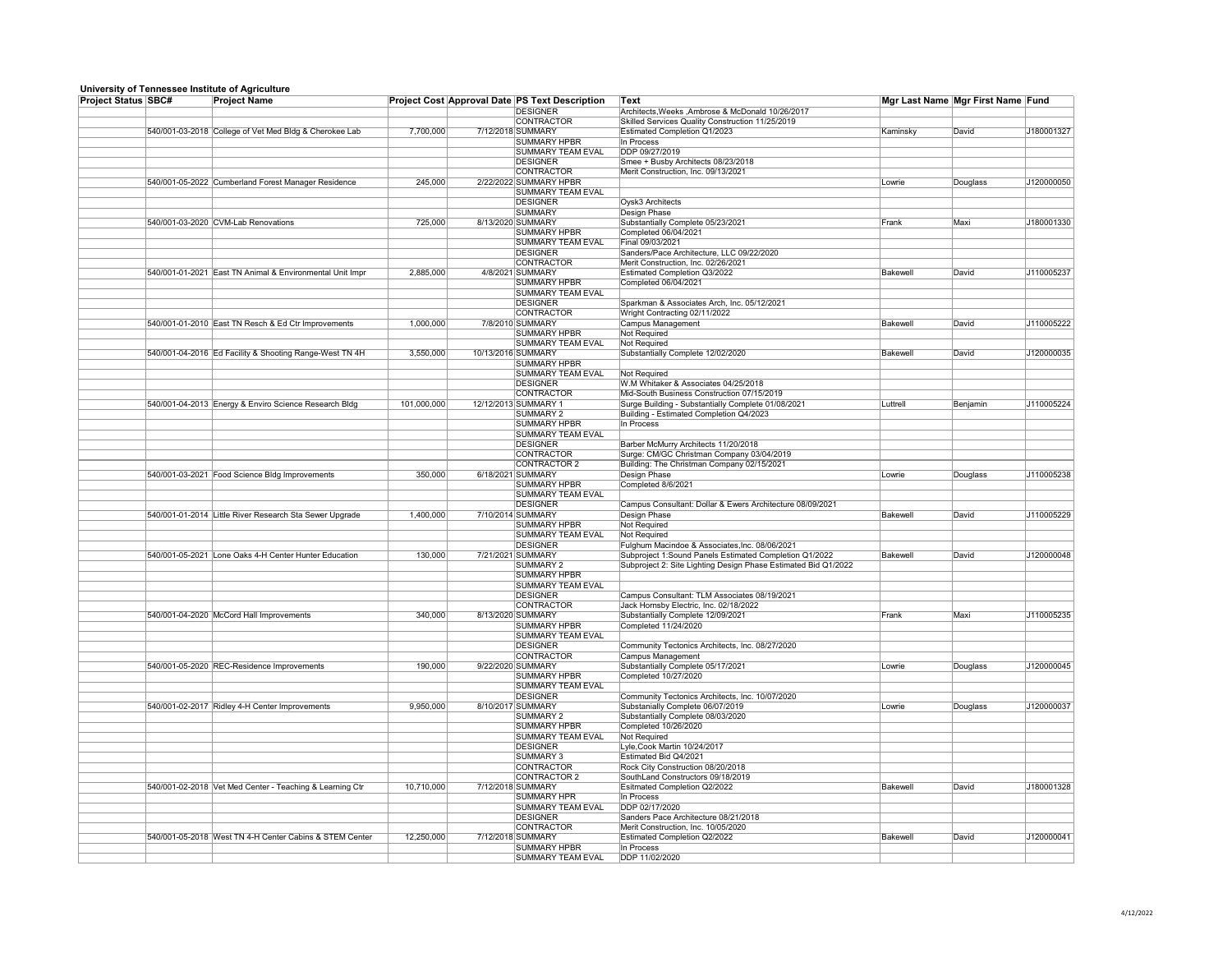## **University of Tennessee Institute of Agriculture**

|                            | <u>silivologiy ol Tollilooddo lilotitato ol Agribaltaro</u> |             |                                                       |                                                                |          |                                   |            |
|----------------------------|-------------------------------------------------------------|-------------|-------------------------------------------------------|----------------------------------------------------------------|----------|-----------------------------------|------------|
| <b>Project Status SBC#</b> | <b>Project Name</b>                                         |             | <b>Project Cost Approval Date PS Text Description</b> | Text                                                           |          | Mgr Last Name Mgr First Name Fund |            |
|                            |                                                             |             | <b>DESIGNER</b>                                       | Architects, Weeks, Ambrose & McDonald 10/26/2017               |          |                                   |            |
|                            |                                                             |             | <b>CONTRACTOR</b>                                     | Skilled Services Quality Construction 11/25/2019               |          |                                   |            |
|                            | 540/001-03-2018 College of Vet Med Bldg & Cherokee Lab      | 7,700,000   | 7/12/2018 SUMMARY                                     | Estimated Completion Q1/2023                                   | Kaminsky | David                             | J180001327 |
|                            |                                                             |             | <b>SUMMARY HPBR</b>                                   | In Process                                                     |          |                                   |            |
|                            |                                                             |             | <b>SUMMARY TEAM EVAL</b>                              | DDP 09/27/2019                                                 |          |                                   |            |
|                            |                                                             |             | <b>DESIGNER</b>                                       | Smee + Busby Architects 08/23/2018                             |          |                                   |            |
|                            |                                                             |             | <b>CONTRACTOR</b>                                     | Merit Construction, Inc. 09/13/2021                            |          |                                   |            |
|                            |                                                             |             |                                                       |                                                                |          |                                   |            |
|                            | 540/001-05-2022 Cumberland Forest Manager Residence         | 245,000     | 2/22/2022 SUMMARY HPBR                                |                                                                | Lowrie   | Douglass                          | J120000050 |
|                            |                                                             |             | <b>SUMMARY TEAM EVAL</b>                              |                                                                |          |                                   |            |
|                            |                                                             |             | <b>DESIGNER</b>                                       | Oysk3 Architects                                               |          |                                   |            |
|                            |                                                             |             | SUMMARY                                               | Design Phase                                                   |          |                                   |            |
|                            | 540/001-03-2020 CVM-Lab Renovations                         | 725,000     | 8/13/2020 SUMMARY                                     | Substantially Complete 05/23/2021                              | Frank    | Maxi                              | J180001330 |
|                            |                                                             |             | <b>SUMMARY HPBR</b>                                   | Completed 06/04/2021                                           |          |                                   |            |
|                            |                                                             |             |                                                       |                                                                |          |                                   |            |
|                            |                                                             |             | SUMMARY TEAM EVAL                                     | Final 09/03/2021                                               |          |                                   |            |
|                            |                                                             |             | <b>DESIGNER</b>                                       | Sanders/Pace Architecture, LLC 09/22/2020                      |          |                                   |            |
|                            |                                                             |             | <b>CONTRACTOR</b>                                     | Merit Construction, Inc. 02/26/2021                            |          |                                   |            |
|                            | 540/001-01-2021 East TN Animal & Environmental Unit Impr    | 2,885,000   | 4/8/2021 SUMMARY                                      | <b>Estimated Completion Q3/2022</b>                            | Bakewell | David                             | J110005237 |
|                            |                                                             |             | <b>SUMMARY HPBR</b>                                   | Completed 06/04/2021                                           |          |                                   |            |
|                            |                                                             |             | <b>SUMMARY TEAM EVAL</b>                              |                                                                |          |                                   |            |
|                            |                                                             |             | <b>DESIGNER</b>                                       |                                                                |          |                                   |            |
|                            |                                                             |             |                                                       | Sparkman & Associates Arch, Inc. 05/12/2021                    |          |                                   |            |
|                            |                                                             |             | <b>CONTRACTOR</b>                                     | Wright Contracting 02/11/2022                                  |          |                                   |            |
|                            | 540/001-01-2010 East TN Resch & Ed Ctr Improvements         | 1,000,000   | 7/8/2010 SUMMARY                                      | <b>Campus Management</b>                                       | Bakewell | David                             | J110005222 |
|                            |                                                             |             | <b>SUMMARY HPBR</b>                                   | Not Required                                                   |          |                                   |            |
|                            |                                                             |             | <b>SUMMARY TEAM EVAL</b>                              | <b>Not Required</b>                                            |          |                                   |            |
|                            | 540/001-04-2016 Ed Facility & Shooting Range-West TN 4H     | 3,550,000   | 10/13/2016 SUMMARY                                    | Substantially Complete 12/02/2020                              | Bakewell | David                             | J120000035 |
|                            |                                                             |             | <b>SUMMARY HPBR</b>                                   |                                                                |          |                                   |            |
|                            |                                                             |             |                                                       |                                                                |          |                                   |            |
|                            |                                                             |             | SUMMARY TEAM EVAL                                     | <b>Not Required</b>                                            |          |                                   |            |
|                            |                                                             |             | <b>DESIGNER</b>                                       | W.M Whitaker & Associates 04/25/2018                           |          |                                   |            |
|                            |                                                             |             | CONTRACTOR                                            | Mid-South Business Construction 07/15/2019                     |          |                                   |            |
|                            | 540/001-04-2013 Energy & Enviro Science Research Bldg       | 101,000,000 | 12/12/2013 SUMMARY 1                                  | Surge Building - Substantially Complete 01/08/2021             | Luttrell | Benjamin                          | J110005224 |
|                            |                                                             |             | <b>SUMMARY 2</b>                                      | Building - Estimated Completion Q4/2023                        |          |                                   |            |
|                            |                                                             |             | <b>SUMMARY HPBR</b>                                   | In Process                                                     |          |                                   |            |
|                            |                                                             |             |                                                       |                                                                |          |                                   |            |
|                            |                                                             |             | SUMMARY TEAM EVAL                                     |                                                                |          |                                   |            |
|                            |                                                             |             | <b>DESIGNER</b>                                       | Barber McMurry Architects 11/20/2018                           |          |                                   |            |
|                            |                                                             |             | <b>CONTRACTOR</b>                                     | Surge: CM/GC Christman Company 03/04/2019                      |          |                                   |            |
|                            |                                                             |             | CONTRACTOR 2                                          | Building: The Christman Company 02/15/2021                     |          |                                   |            |
|                            | 540/001-03-2021 Food Science Bldg Improvements              | 350,000     | 6/18/2021 SUMMARY                                     | Design Phase                                                   | Lowrie   | Douglass                          | J110005238 |
|                            |                                                             |             | <b>SUMMARY HPBR</b>                                   | Completed 8/6/2021                                             |          |                                   |            |
|                            |                                                             |             |                                                       |                                                                |          |                                   |            |
|                            |                                                             |             | SUMMARY TEAM EVAL                                     |                                                                |          |                                   |            |
|                            |                                                             |             | <b>DESIGNER</b>                                       | Campus Consultant: Dollar & Ewers Architecture 08/09/2021      |          |                                   |            |
|                            | 540/001-01-2014 Little River Research Sta Sewer Upgrade     | 1,400,000   | 7/10/2014 SUMMARY                                     | Design Phase                                                   | Bakewell | David                             | J110005229 |
|                            |                                                             |             | <b>SUMMARY HPBR</b>                                   | Not Required                                                   |          |                                   |            |
|                            |                                                             |             | SUMMARY TEAM EVAL                                     | <b>Not Required</b>                                            |          |                                   |            |
|                            |                                                             |             | <b>DESIGNER</b>                                       | Fulghum Macindoe & Associates, Inc. 08/06/2021                 |          |                                   |            |
|                            |                                                             |             |                                                       |                                                                |          |                                   |            |
|                            | 540/001-05-2021 Lone Oaks 4-H Center Hunter Education       | 130,000     | 7/21/2021 SUMMARY                                     | Subproject 1: Sound Panels Estimated Completion Q1/2022        | Bakewell | David                             | J120000048 |
|                            |                                                             |             | <b>SUMMARY 2</b>                                      | Subproject 2: Site Lighting Design Phase Estimated Bid Q1/2022 |          |                                   |            |
|                            |                                                             |             | <b>SUMMARY HPBR</b>                                   |                                                                |          |                                   |            |
|                            |                                                             |             | <b>SUMMARY TEAM EVAL</b>                              |                                                                |          |                                   |            |
|                            |                                                             |             | <b>DESIGNER</b>                                       | Campus Consultant: TLM Associates 08/19/2021                   |          |                                   |            |
|                            |                                                             |             | CONTRACTOR                                            | Jack Hornsby Electric, Inc. 02/18/2022                         |          |                                   |            |
|                            |                                                             |             | 8/13/2020 SUMMARY                                     |                                                                | Frank    | Maxi                              | J110005235 |
|                            | 540/001-04-2020 McCord Hall Improvements                    | 340,000     |                                                       | Substantially Complete 12/09/2021                              |          |                                   |            |
|                            |                                                             |             | <b>SUMMARY HPBR</b>                                   | Completed 11/24/2020                                           |          |                                   |            |
|                            |                                                             |             | SUMMARY TEAM EVAL                                     |                                                                |          |                                   |            |
|                            |                                                             |             | <b>DESIGNER</b>                                       | Community Tectonics Architects, Inc. 08/27/2020                |          |                                   |            |
|                            |                                                             |             | <b>CONTRACTOR</b>                                     | <b>Campus Management</b>                                       |          |                                   |            |
|                            | 540/001-05-2020 REC-Residence Improvements                  | 190,000     | 9/22/2020 SUMMARY                                     | Substantially Complete 05/17/2021                              | Lowrie   | Douglass                          | J120000045 |
|                            |                                                             |             | <b>SUMMARY HPBR</b>                                   | Completed 10/27/2020                                           |          |                                   |            |
|                            |                                                             |             |                                                       |                                                                |          |                                   |            |
|                            |                                                             |             | SUMMARY TEAM EVAL                                     |                                                                |          |                                   |            |
|                            |                                                             |             | <b>DESIGNER</b>                                       | Community Tectonics Architects, Inc. 10/07/2020                |          |                                   |            |
|                            | 540/001-02-2017 Ridley 4-H Center Improvements              | 9,950,000   | 8/10/2017 SUMMARY                                     | Substanially Complete 06/07/2019                               | Lowrie   | Douglass                          | J120000037 |
|                            |                                                             |             | <b>SUMMARY 2</b>                                      | Substantially Complete 08/03/2020                              |          |                                   |            |
|                            |                                                             |             | <b>SUMMARY HPBR</b>                                   | Completed 10/26/2020                                           |          |                                   |            |
|                            |                                                             |             | <b>SUMMARY TEAM EVAL</b>                              | <b>Not Required</b>                                            |          |                                   |            |
|                            |                                                             |             | <b>DESIGNER</b>                                       |                                                                |          |                                   |            |
|                            |                                                             |             |                                                       | Lyle, Cook Martin 10/24/2017                                   |          |                                   |            |
|                            |                                                             |             | SUMMARY 3                                             | Estimated Bid Q4/2021                                          |          |                                   |            |
|                            |                                                             |             | <b>CONTRACTOR</b>                                     | Rock City Construction 08/20/2018                              |          |                                   |            |
|                            |                                                             |             | CONTRACTOR 2                                          | SouthLand Constructors 09/18/2019                              |          |                                   |            |
|                            | 540/001-02-2018   Vet Med Center - Teaching & Learning Ctr  | 10,710,000  | 7/12/2018 SUMMARY                                     | Esitmated Completion Q2/2022                                   | Bakewell | David                             | J180001328 |
|                            |                                                             |             | SUMMARY HPR                                           | In Process                                                     |          |                                   |            |
|                            |                                                             |             | SUMMARY TEAM EVAL                                     | DDP 02/17/2020                                                 |          |                                   |            |
|                            |                                                             |             |                                                       |                                                                |          |                                   |            |
|                            |                                                             |             | <b>DESIGNER</b>                                       | Sanders Pace Architecture 08/21/2018                           |          |                                   |            |
|                            |                                                             |             | <b>CONTRACTOR</b>                                     | Merit Construction, Inc. 10/05/2020                            |          |                                   |            |
|                            | 540/001-05-2018 West TN 4-H Center Cabins & STEM Center     | 12,250,000  | 7/12/2018 SUMMARY                                     | Estimated Completion Q2/2022                                   | Bakewell | David                             | J120000041 |
|                            |                                                             |             | <b>SUMMARY HPBR</b>                                   | In Process                                                     |          |                                   |            |
|                            |                                                             |             | SUMMARY TEAM EVAL                                     | DDP 11/02/2020                                                 |          |                                   |            |
|                            |                                                             |             |                                                       |                                                                |          |                                   |            |